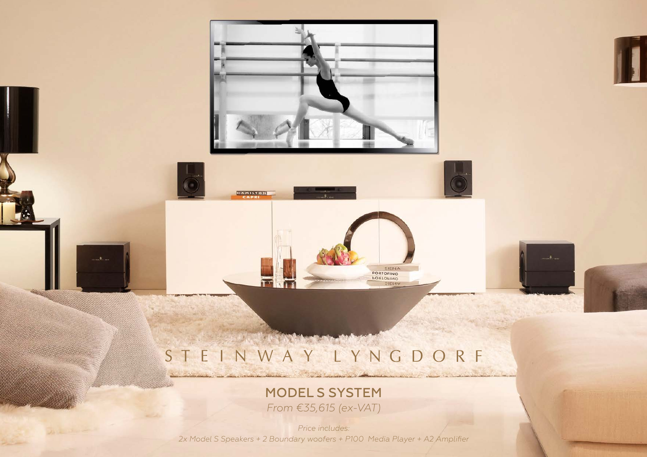

## **MARINE** STEINWAY LYNGDORF

SIENA

### MODEL S SYSTEM *From €35,615 (ex-VAT)*

*Price includes: [2x Model S Speakers + 2 Boundary woofers + P100 Media Player + A2 Amplifier](https://www.genesis-tech.eu/steinway-lyngdorf)*

 $24 - 3 - -$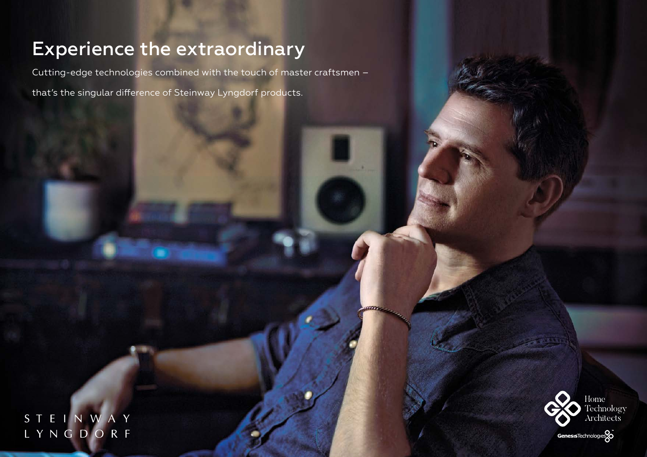## [Experience the extraordinary](https://www.genesis-tech.eu/steinway-lyngdorf)

Cutting-edge technologies combined with the touch of master craftsmen –

that's the singular difference of Steinway Lyngdorf products.

STEINWAY<br>LYNGDORF

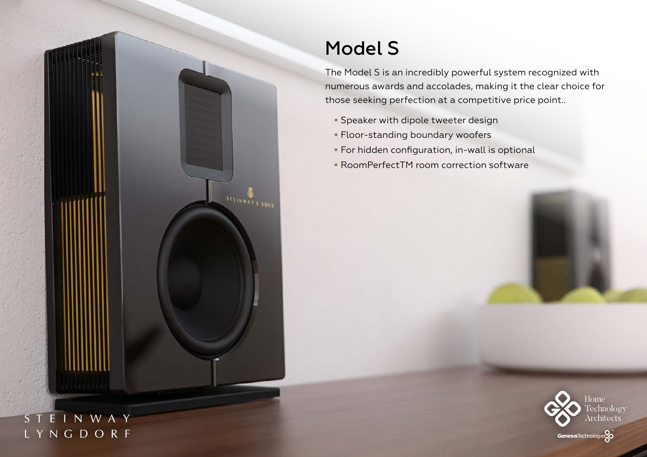

### STEINWAY LYNGDORF

# Model S

The Model S is an incredibly powerful system recognized with [numerous awards and accolades, making it the clear choice for](https://www.genesis-tech.eu/steinway-lyngdorf)  those seeking perfection at a competitive price point..

- Speaker with dipole tweeter design
- Floor-standing boundary woofers
- For hidden configuration, in-wall is optional
- RoomPerfectTM room correction software

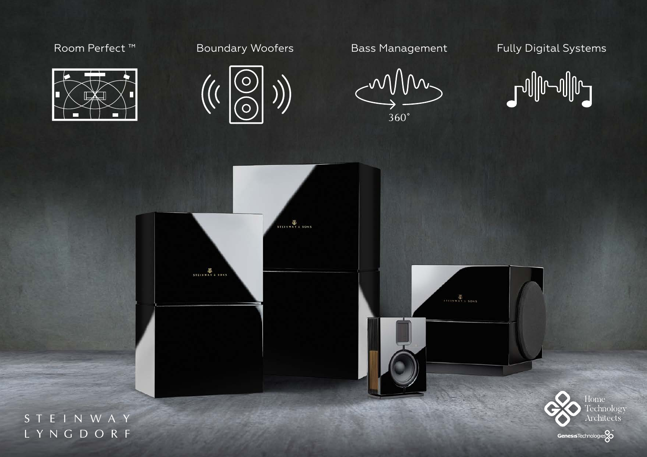



MM.  $360^\circ$ 

## Room Perfect ™ Boundary Woofers Bass Management [Fully Digital Systems](https://www.genesis-tech.eu/steinway-lyngdorf)





STEINWAY LYNGDORF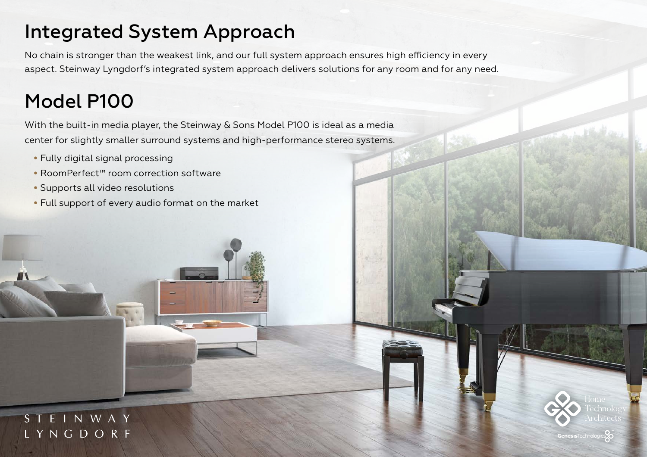## [Integrated System Approach](https://www.genesis-tech.eu/steinway-lyngdorf)

No chain is stronger than the weakest link, and our full system approach ensures high efficiency in every aspect. Steinway Lyngdorf's integrated system approach delivers solutions for any room and for any need.

# Model P100

With the built-in media player, the Steinway & Sons Model P100 is ideal as a media center for slightly smaller surround systems and high-performance stereo systems.

- Fully digital signal processing
- RoomPerfect™ room correction software
- Supports all video resolutions
- Full support of every audio format on the market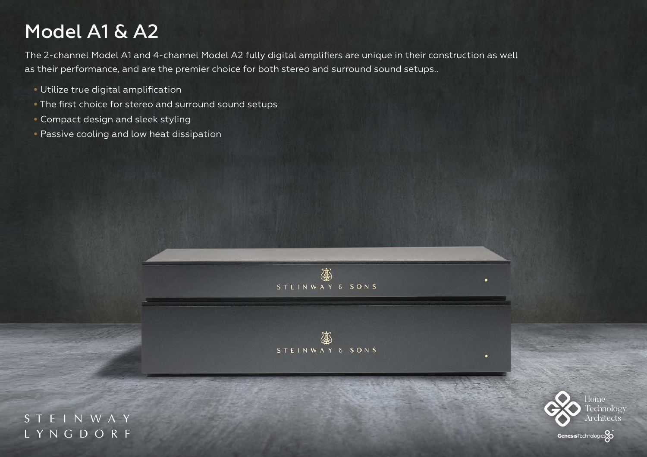# Model A1 & A2

[The 2-channel Model A1 and 4-channel Model A2 fully digital amplifiers are unique in their construction as well](https://www.genesis-tech.eu/steinway-lyngdorf)  as their performance, and are the premier choice for both stereo and surround sound setups..

- Utilize true digital amplification
- The first choice for stereo and surround sound setups
- Compact design and sleek styling
- Passive cooling and low heat dissipation





STEINWAY LYNGDORF